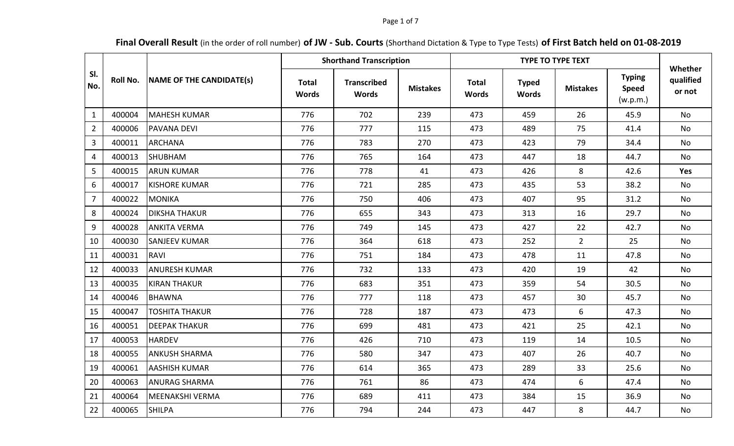### Page 1 of 7

# **Final Overall Result** (in the order of roll number) **of JW - Sub. Courts** (Shorthand Dictation & Type to Type Tests) **of First Batch held on 01-08-2019**

|                | <b>Roll No.</b> | NAME OF THE CANDIDATE(s) |                       | <b>Shorthand Transcription</b>     |                 |                              | Whether                      |                 |                                           |                     |
|----------------|-----------------|--------------------------|-----------------------|------------------------------------|-----------------|------------------------------|------------------------------|-----------------|-------------------------------------------|---------------------|
| SI.<br>No.     |                 |                          | <b>Total</b><br>Words | <b>Transcribed</b><br><b>Words</b> | <b>Mistakes</b> | <b>Total</b><br><b>Words</b> | <b>Typed</b><br><b>Words</b> | <b>Mistakes</b> | <b>Typing</b><br><b>Speed</b><br>(w.p.m.) | qualified<br>or not |
| $\mathbf{1}$   | 400004          | <b>MAHESH KUMAR</b>      | 776                   | 702                                | 239             | 473                          | 459                          | 26              | 45.9                                      | No                  |
| $\overline{2}$ | 400006          | <b>PAVANA DEVI</b>       | 776                   | 777                                | 115             | 473                          | 489                          | 75              | 41.4                                      | <b>No</b>           |
| 3              | 400011          | <b>ARCHANA</b>           | 776                   | 783                                | 270             | 473                          | 423                          | 79              | 34.4                                      | No                  |
| $\overline{4}$ | 400013          | <b>SHUBHAM</b>           | 776                   | 765                                | 164             | 473                          | 447                          | 18              | 44.7                                      | No                  |
| 5              | 400015          | <b>ARUN KUMAR</b>        | 776                   | 778                                | 41              | 473                          | 426                          | 8               | 42.6                                      | <b>Yes</b>          |
| 6              | 400017          | <b>KISHORE KUMAR</b>     | 776                   | 721                                | 285             | 473                          | 435                          | 53              | 38.2                                      | No                  |
| $\overline{7}$ | 400022          | <b>MONIKA</b>            | 776                   | 750                                | 406             | 473                          | 407                          | 95              | 31.2                                      | No                  |
| 8              | 400024          | <b>DIKSHA THAKUR</b>     | 776                   | 655                                | 343             | 473                          | 313                          | 16              | 29.7                                      | No                  |
| 9              | 400028          | <b>ANKITA VERMA</b>      | 776                   | 749                                | 145             | 473                          | 427                          | 22              | 42.7                                      | No                  |
| 10             | 400030          | <b>SANJEEV KUMAR</b>     | 776                   | 364                                | 618             | 473                          | 252                          | $\overline{2}$  | 25                                        | No                  |
| 11             | 400031          | RAVI                     | 776                   | 751                                | 184             | 473                          | 478                          | 11              | 47.8                                      | <b>No</b>           |
| 12             | 400033          | <b>ANURESH KUMAR</b>     | 776                   | 732                                | 133             | 473                          | 420                          | 19              | 42                                        | No                  |
| 13             | 400035          | <b>KIRAN THAKUR</b>      | 776                   | 683                                | 351             | 473                          | 359                          | 54              | 30.5                                      | No                  |
| 14             | 400046          | <b>BHAWNA</b>            | 776                   | 777                                | 118             | 473                          | 457                          | 30              | 45.7                                      | No                  |
| 15             | 400047          | <b>TOSHITA THAKUR</b>    | 776                   | 728                                | 187             | 473                          | 473                          | 6               | 47.3                                      | <b>No</b>           |
| 16             | 400051          | <b>DEEPAK THAKUR</b>     | 776                   | 699                                | 481             | 473                          | 421                          | 25              | 42.1                                      | No                  |
| 17             | 400053          | <b>HARDEV</b>            | 776                   | 426                                | 710             | 473                          | 119                          | 14              | 10.5                                      | No                  |
| 18             | 400055          | <b>ANKUSH SHARMA</b>     | 776                   | 580                                | 347             | 473                          | 407                          | 26              | 40.7                                      | <b>No</b>           |
| 19             | 400061          | <b>AASHISH KUMAR</b>     | 776                   | 614                                | 365             | 473                          | 289                          | 33              | 25.6                                      | No                  |
| 20             | 400063          | <b>ANURAG SHARMA</b>     | 776                   | 761                                | 86              | 473                          | 474                          | 6               | 47.4                                      | No                  |
| 21             | 400064          | <b>MEENAKSHI VERMA</b>   | 776                   | 689                                | 411             | 473                          | 384                          | 15              | 36.9                                      | No                  |
| 22             | 400065          | <b>SHILPA</b>            | 776                   | 794                                | 244             | 473                          | 447                          | 8               | 44.7                                      | <b>No</b>           |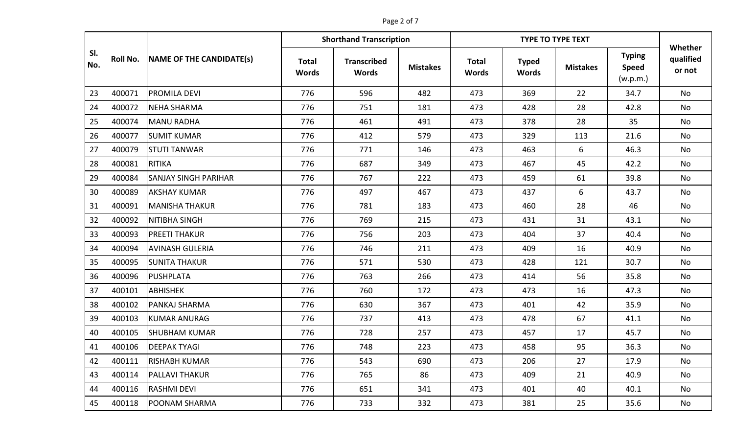## Page 2 of 7

|            |                 | NAME OF THE CANDIDATE(s)    | <b>Shorthand Transcription</b> |                                    |                 |                              | Whether                      |                 |                                           |                     |
|------------|-----------------|-----------------------------|--------------------------------|------------------------------------|-----------------|------------------------------|------------------------------|-----------------|-------------------------------------------|---------------------|
| SI.<br>No. | <b>Roll No.</b> |                             | <b>Total</b><br><b>Words</b>   | <b>Transcribed</b><br><b>Words</b> | <b>Mistakes</b> | <b>Total</b><br><b>Words</b> | <b>Typed</b><br><b>Words</b> | <b>Mistakes</b> | <b>Typing</b><br><b>Speed</b><br>(w.p.m.) | qualified<br>or not |
| 23         | 400071          | <b>PROMILA DEVI</b>         | 776                            | 596                                | 482             | 473                          | 369                          | 22              | 34.7                                      | <b>No</b>           |
| 24         | 400072          | <b>NEHA SHARMA</b>          | 776                            | 751                                | 181             | 473                          | 428                          | 28              | 42.8                                      | <b>No</b>           |
| 25         | 400074          | <b>MANU RADHA</b>           | 776                            | 461                                | 491             | 473                          | 378                          | 28              | 35                                        | No                  |
| 26         | 400077          | <b>SUMIT KUMAR</b>          | 776                            | 412                                | 579             | 473                          | 329                          | 113             | 21.6                                      | No                  |
| 27         | 400079          | <b>STUTI TANWAR</b>         | 776                            | 771                                | 146             | 473                          | 463                          | 6               | 46.3                                      | No                  |
| 28         | 400081          | <b>RITIKA</b>               | 776                            | 687                                | 349             | 473                          | 467                          | 45              | 42.2                                      | No                  |
| 29         | 400084          | <b>SANJAY SINGH PARIHAR</b> | 776                            | 767                                | 222             | 473                          | 459                          | 61              | 39.8                                      | No                  |
| 30         | 400089          | <b>AKSHAY KUMAR</b>         | 776                            | 497                                | 467             | 473                          | 437                          | 6               | 43.7                                      | No                  |
| 31         | 400091          | <b>MANISHA THAKUR</b>       | 776                            | 781                                | 183             | 473                          | 460                          | 28              | 46                                        | No                  |
| 32         | 400092          | NITIBHA SINGH               | 776                            | 769                                | 215             | 473                          | 431                          | 31              | 43.1                                      | <b>No</b>           |
| 33         | 400093          | <b>PREETI THAKUR</b>        | 776                            | 756                                | 203             | 473                          | 404                          | 37              | 40.4                                      | No                  |
| 34         | 400094          | <b>AVINASH GULERIA</b>      | 776                            | 746                                | 211             | 473                          | 409                          | 16              | 40.9                                      | <b>No</b>           |
| 35         | 400095          | <b>SUNITA THAKUR</b>        | 776                            | 571                                | 530             | 473                          | 428                          | 121             | 30.7                                      | No                  |
| 36         | 400096          | PUSHPLATA                   | 776                            | 763                                | 266             | 473                          | 414                          | 56              | 35.8                                      | No                  |
| 37         | 400101          | <b>ABHISHEK</b>             | 776                            | 760                                | 172             | 473                          | 473                          | 16              | 47.3                                      | No                  |
| 38         | 400102          | <b>PANKAJ SHARMA</b>        | 776                            | 630                                | 367             | 473                          | 401                          | 42              | 35.9                                      | <b>No</b>           |
| 39         | 400103          | <b>KUMAR ANURAG</b>         | 776                            | 737                                | 413             | 473                          | 478                          | 67              | 41.1                                      | No                  |
| 40         | 400105          | <b>SHUBHAM KUMAR</b>        | 776                            | 728                                | 257             | 473                          | 457                          | 17              | 45.7                                      | No                  |
| 41         | 400106          | <b>DEEPAK TYAGI</b>         | 776                            | 748                                | 223             | 473                          | 458                          | 95              | 36.3                                      | <b>No</b>           |
| 42         | 400111          | <b>RISHABH KUMAR</b>        | 776                            | 543                                | 690             | 473                          | 206                          | 27              | 17.9                                      | No                  |
| 43         | 400114          | <b>PALLAVI THAKUR</b>       | 776                            | 765                                | 86              | 473                          | 409                          | 21              | 40.9                                      | No                  |
| 44         | 400116          | <b>RASHMI DEVI</b>          | 776                            | 651                                | 341             | 473                          | 401                          | 40              | 40.1                                      | No                  |
| 45         | 400118          | <b>POONAM SHARMA</b>        | 776                            | 733                                | 332             | 473                          | 381                          | 25              | 35.6                                      | No                  |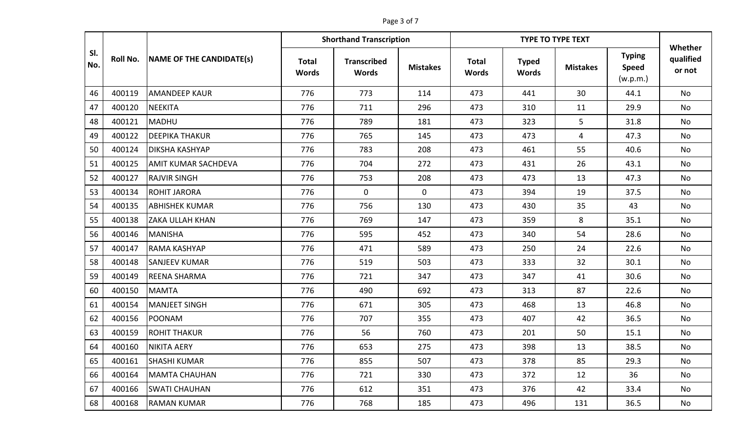## Page 3 of 7

|            |                 | NAME OF THE CANDIDATE(s)   |                              | <b>Shorthand Transcription</b>     |                 |                              | Whether                      |                 |                                           |                     |
|------------|-----------------|----------------------------|------------------------------|------------------------------------|-----------------|------------------------------|------------------------------|-----------------|-------------------------------------------|---------------------|
| SI.<br>No. | <b>Roll No.</b> |                            | <b>Total</b><br><b>Words</b> | <b>Transcribed</b><br><b>Words</b> | <b>Mistakes</b> | <b>Total</b><br><b>Words</b> | <b>Typed</b><br><b>Words</b> | <b>Mistakes</b> | <b>Typing</b><br><b>Speed</b><br>(w.p.m.) | qualified<br>or not |
| 46         | 400119          | <b>AMANDEEP KAUR</b>       | 776                          | 773                                | 114             | 473                          | 441                          | 30              | 44.1                                      | <b>No</b>           |
| 47         | 400120          | NEEKITA                    | 776                          | 711                                | 296             | 473                          | 310                          | 11              | 29.9                                      | No                  |
| 48         | 400121          | MADHU                      | 776                          | 789                                | 181             | 473                          | 323                          | 5               | 31.8                                      | No                  |
| 49         | 400122          | <b>DEEPIKA THAKUR</b>      | 776                          | 765                                | 145             | 473                          | 473                          | 4               | 47.3                                      | No                  |
| 50         | 400124          | <b>DIKSHA KASHYAP</b>      | 776                          | 783                                | 208             | 473                          | 461                          | 55              | 40.6                                      | No                  |
| 51         | 400125          | <b>AMIT KUMAR SACHDEVA</b> | 776                          | 704                                | 272             | 473                          | 431                          | 26              | 43.1                                      | No                  |
| 52         | 400127          | <b>RAJVIR SINGH</b>        | 776                          | 753                                | 208             | 473                          | 473                          | 13              | 47.3                                      | No                  |
| 53         | 400134          | <b>ROHIT JARORA</b>        | 776                          | $\mathbf 0$                        | $\mathbf 0$     | 473                          | 394                          | 19              | 37.5                                      | No                  |
| 54         | 400135          | <b>ABHISHEK KUMAR</b>      | 776                          | 756                                | 130             | 473                          | 430                          | 35              | 43                                        | No                  |
| 55         | 400138          | <b>ZAKA ULLAH KHAN</b>     | 776                          | 769                                | 147             | 473                          | 359                          | 8               | 35.1                                      | No                  |
| 56         | 400146          | MANISHA                    | 776                          | 595                                | 452             | 473                          | 340                          | 54              | 28.6                                      | No                  |
| 57         | 400147          | <b>RAMA KASHYAP</b>        | 776                          | 471                                | 589             | 473                          | 250                          | 24              | 22.6                                      | No                  |
| 58         | 400148          | <b>SANJEEV KUMAR</b>       | 776                          | 519                                | 503             | 473                          | 333                          | 32              | 30.1                                      | No                  |
| 59         | 400149          | <b>REENA SHARMA</b>        | 776                          | 721                                | 347             | 473                          | 347                          | 41              | 30.6                                      | No                  |
| 60         | 400150          | <b>MAMTA</b>               | 776                          | 490                                | 692             | 473                          | 313                          | 87              | 22.6                                      | No                  |
| 61         | 400154          | MANJEET SINGH              | 776                          | 671                                | 305             | 473                          | 468                          | 13              | 46.8                                      | <b>No</b>           |
| 62         | 400156          | POONAM                     | 776                          | 707                                | 355             | 473                          | 407                          | 42              | 36.5                                      | No                  |
| 63         | 400159          | <b>ROHIT THAKUR</b>        | 776                          | 56                                 | 760             | 473                          | 201                          | 50              | 15.1                                      | No                  |
| 64         | 400160          | NIKITA AERY                | 776                          | 653                                | 275             | 473                          | 398                          | 13              | 38.5                                      | No                  |
| 65         | 400161          | <b>SHASHI KUMAR</b>        | 776                          | 855                                | 507             | 473                          | 378                          | 85              | 29.3                                      | No                  |
| 66         | 400164          | MAMTA CHAUHAN              | 776                          | 721                                | 330             | 473                          | 372                          | 12              | 36                                        | No                  |
| 67         | 400166          | <b>SWATI CHAUHAN</b>       | 776                          | 612                                | 351             | 473                          | 376                          | 42              | 33.4                                      | No                  |
| 68         | 400168          | <b>RAMAN KUMAR</b>         | 776                          | 768                                | 185             | 473                          | 496                          | 131             | 36.5                                      | No                  |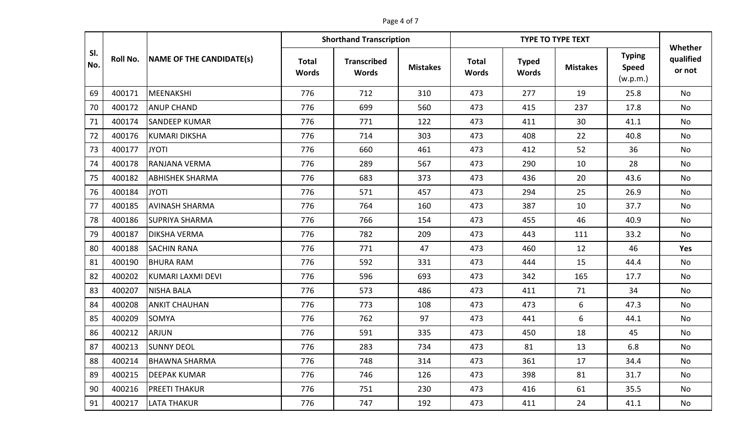## Page 4 of 7

|            |                 | NAME OF THE CANDIDATE(s) | <b>Shorthand Transcription</b> |                                    |                 |                              | Whether                      |                 |                                           |                     |
|------------|-----------------|--------------------------|--------------------------------|------------------------------------|-----------------|------------------------------|------------------------------|-----------------|-------------------------------------------|---------------------|
| SI.<br>No. | <b>Roll No.</b> |                          | <b>Total</b><br><b>Words</b>   | <b>Transcribed</b><br><b>Words</b> | <b>Mistakes</b> | <b>Total</b><br><b>Words</b> | <b>Typed</b><br><b>Words</b> | <b>Mistakes</b> | <b>Typing</b><br><b>Speed</b><br>(w.p.m.) | qualified<br>or not |
| 69         | 400171          | <b>MEENAKSHI</b>         | 776                            | 712                                | 310             | 473                          | 277                          | 19              | 25.8                                      | <b>No</b>           |
| 70         | 400172          | <b>ANUP CHAND</b>        | 776                            | 699                                | 560             | 473                          | 415                          | 237             | 17.8                                      | No                  |
| 71         | 400174          | <b>SANDEEP KUMAR</b>     | 776                            | 771                                | 122             | 473                          | 411                          | 30              | 41.1                                      | No                  |
| 72         | 400176          | KUMARI DIKSHA            | 776                            | 714                                | 303             | 473                          | 408                          | 22              | 40.8                                      | <b>No</b>           |
| 73         | 400177          | <b>JYOTI</b>             | 776                            | 660                                | 461             | 473                          | 412                          | 52              | 36                                        | No                  |
| 74         | 400178          | RANJANA VERMA            | 776                            | 289                                | 567             | 473                          | 290                          | 10              | 28                                        | No                  |
| 75         | 400182          | <b>ABHISHEK SHARMA</b>   | 776                            | 683                                | 373             | 473                          | 436                          | 20              | 43.6                                      | No                  |
| 76         | 400184          | <b>JYOTI</b>             | 776                            | 571                                | 457             | 473                          | 294                          | 25              | 26.9                                      | No                  |
| 77         | 400185          | <b>AVINASH SHARMA</b>    | 776                            | 764                                | 160             | 473                          | 387                          | 10              | 37.7                                      | No                  |
| 78         | 400186          | <b>SUPRIYA SHARMA</b>    | 776                            | 766                                | 154             | 473                          | 455                          | 46              | 40.9                                      | No                  |
| 79         | 400187          | <b>DIKSHA VERMA</b>      | 776                            | 782                                | 209             | 473                          | 443                          | 111             | 33.2                                      | No                  |
| 80         | 400188          | <b>SACHIN RANA</b>       | 776                            | 771                                | 47              | 473                          | 460                          | 12              | 46                                        | Yes                 |
| 81         | 400190          | <b>BHURA RAM</b>         | 776                            | 592                                | 331             | 473                          | 444                          | 15              | 44.4                                      | No                  |
| 82         | 400202          | KUMARI LAXMI DEVI        | 776                            | 596                                | 693             | 473                          | 342                          | 165             | 17.7                                      | No                  |
| 83         | 400207          | <b>NISHA BALA</b>        | 776                            | 573                                | 486             | 473                          | 411                          | 71              | 34                                        | No                  |
| 84         | 400208          | <b>ANKIT CHAUHAN</b>     | 776                            | 773                                | 108             | 473                          | 473                          | 6               | 47.3                                      | No                  |
| 85         | 400209          | <b>SOMYA</b>             | 776                            | 762                                | 97              | 473                          | 441                          | 6               | 44.1                                      | No                  |
| 86         | 400212          | <b>ARJUN</b>             | 776                            | 591                                | 335             | 473                          | 450                          | 18              | 45                                        | No                  |
| 87         | 400213          | <b>SUNNY DEOL</b>        | 776                            | 283                                | 734             | 473                          | 81                           | 13              | 6.8                                       | No                  |
| 88         | 400214          | <b>BHAWNA SHARMA</b>     | 776                            | 748                                | 314             | 473                          | 361                          | 17              | 34.4                                      | No                  |
| 89         | 400215          | <b>DEEPAK KUMAR</b>      | 776                            | 746                                | 126             | 473                          | 398                          | 81              | 31.7                                      | No                  |
| 90         | 400216          | <b>PREETI THAKUR</b>     | 776                            | 751                                | 230             | 473                          | 416                          | 61              | 35.5                                      | No                  |
| 91         | 400217          | <b>LATA THAKUR</b>       | 776                            | 747                                | 192             | 473                          | 411                          | 24              | 41.1                                      | No                  |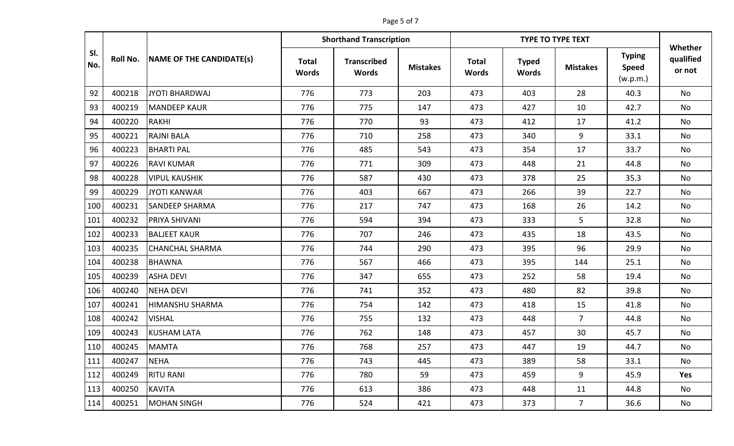## Page 5 of 7

|            |                 | NAME OF THE CANDIDATE(s) | <b>Shorthand Transcription</b> |                                    |                 |                              | Whether                      |                 |                                           |                     |
|------------|-----------------|--------------------------|--------------------------------|------------------------------------|-----------------|------------------------------|------------------------------|-----------------|-------------------------------------------|---------------------|
| SI.<br>No. | <b>Roll No.</b> |                          | <b>Total</b><br><b>Words</b>   | <b>Transcribed</b><br><b>Words</b> | <b>Mistakes</b> | <b>Total</b><br><b>Words</b> | <b>Typed</b><br><b>Words</b> | <b>Mistakes</b> | <b>Typing</b><br><b>Speed</b><br>(w.p.m.) | qualified<br>or not |
| 92         | 400218          | <b>JYOTI BHARDWAJ</b>    | 776                            | 773                                | 203             | 473                          | 403                          | 28              | 40.3                                      | <b>No</b>           |
| 93         | 400219          | <b>MANDEEP KAUR</b>      | 776                            | 775                                | 147             | 473                          | 427                          | 10              | 42.7                                      | No                  |
| 94         | 400220          | <b>RAKHI</b>             | 776                            | 770                                | 93              | 473                          | 412                          | 17              | 41.2                                      | <b>No</b>           |
| 95         | 400221          | <b>RAJNI BALA</b>        | 776                            | 710                                | 258             | 473                          | 340                          | 9               | 33.1                                      | No                  |
| 96         | 400223          | <b>BHARTI PAL</b>        | 776                            | 485                                | 543             | 473                          | 354                          | 17              | 33.7                                      | No                  |
| 97         | 400226          | <b>RAVI KUMAR</b>        | 776                            | 771                                | 309             | 473                          | 448                          | 21              | 44.8                                      | No                  |
| 98         | 400228          | <b>VIPUL KAUSHIK</b>     | 776                            | 587                                | 430             | 473                          | 378                          | 25              | 35.3                                      | No                  |
| 99         | 400229          | JYOTI KANWAR             | 776                            | 403                                | 667             | 473                          | 266                          | 39              | 22.7                                      | No                  |
| 100        | 400231          | <b>SANDEEP SHARMA</b>    | 776                            | 217                                | 747             | 473                          | 168                          | 26              | 14.2                                      | No                  |
| 101        | 400232          | <b>PRIYA SHIVANI</b>     | 776                            | 594                                | 394             | 473                          | 333                          | 5               | 32.8                                      | No                  |
| 102        | 400233          | <b>BALJEET KAUR</b>      | 776                            | 707                                | 246             | 473                          | 435                          | 18              | 43.5                                      | No                  |
| 103        | 400235          | <b>CHANCHAL SHARMA</b>   | 776                            | 744                                | 290             | 473                          | 395                          | 96              | 29.9                                      | No                  |
| 104        | 400238          | <b>BHAWNA</b>            | 776                            | 567                                | 466             | 473                          | 395                          | 144             | 25.1                                      | No                  |
| 105        | 400239          | <b>ASHA DEVI</b>         | 776                            | 347                                | 655             | 473                          | 252                          | 58              | 19.4                                      | <b>No</b>           |
| 106        | 400240          | <b>NEHA DEVI</b>         | 776                            | 741                                | 352             | 473                          | 480                          | 82              | 39.8                                      | No                  |
| 107        | 400241          | HIMANSHU SHARMA          | 776                            | 754                                | 142             | 473                          | 418                          | 15              | 41.8                                      | No                  |
| 108        | 400242          | <b>VISHAL</b>            | 776                            | 755                                | 132             | 473                          | 448                          | $\overline{7}$  | 44.8                                      | No                  |
| 109        | 400243          | <b>KUSHAM LATA</b>       | 776                            | 762                                | 148             | 473                          | 457                          | 30              | 45.7                                      | No                  |
| 110        | 400245          | <b>MAMTA</b>             | 776                            | 768                                | 257             | 473                          | 447                          | 19              | 44.7                                      | No                  |
| 111        | 400247          | <b>NEHA</b>              | 776                            | 743                                | 445             | 473                          | 389                          | 58              | 33.1                                      | No                  |
| 112        | 400249          | <b>RITU RANI</b>         | 776                            | 780                                | 59              | 473                          | 459                          | 9               | 45.9                                      | Yes                 |
| 113        | 400250          | <b>KAVITA</b>            | 776                            | 613                                | 386             | 473                          | 448                          | 11              | 44.8                                      | No                  |
| 114        | 400251          | <b>MOHAN SINGH</b>       | 776                            | 524                                | 421             | 473                          | 373                          | $\overline{7}$  | 36.6                                      | No                  |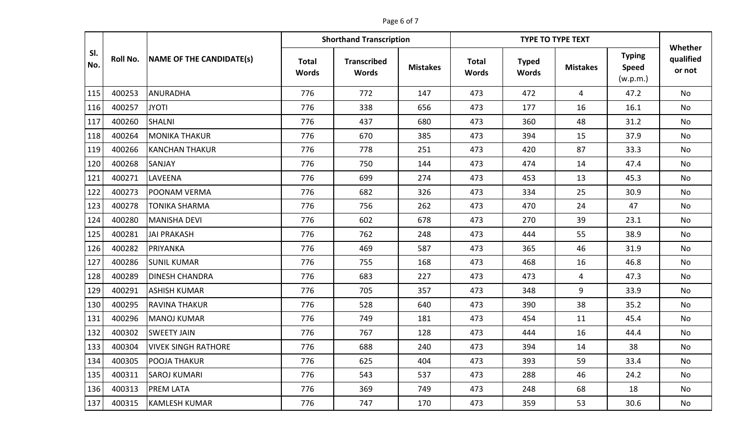## Page 6 of 7

|            |                 | NAME OF THE CANDIDATE(s)   |                              | <b>Shorthand Transcription</b>     |                 |                              | Whether                      |                 |                                           |                     |
|------------|-----------------|----------------------------|------------------------------|------------------------------------|-----------------|------------------------------|------------------------------|-----------------|-------------------------------------------|---------------------|
| SI.<br>No. | <b>Roll No.</b> |                            | <b>Total</b><br><b>Words</b> | <b>Transcribed</b><br><b>Words</b> | <b>Mistakes</b> | <b>Total</b><br><b>Words</b> | <b>Typed</b><br><b>Words</b> | <b>Mistakes</b> | <b>Typing</b><br><b>Speed</b><br>(w.p.m.) | qualified<br>or not |
| 115        | 400253          | <b>ANURADHA</b>            | 776                          | 772                                | 147             | 473                          | 472                          | $\overline{4}$  | 47.2                                      | <b>No</b>           |
| 116        | 400257          | <b>JYOTI</b>               | 776                          | 338                                | 656             | 473                          | 177                          | 16              | 16.1                                      | No                  |
| 117        | 400260          | <b>SHALNI</b>              | 776                          | 437                                | 680             | 473                          | 360                          | 48              | 31.2                                      | No                  |
| 118        | 400264          | <b>MONIKA THAKUR</b>       | 776                          | 670                                | 385             | 473                          | 394                          | 15              | 37.9                                      | No                  |
| 119        | 400266          | <b>KANCHAN THAKUR</b>      | 776                          | 778                                | 251             | 473                          | 420                          | 87              | 33.3                                      | No                  |
| 120        | 400268          | <b>SANJAY</b>              | 776                          | 750                                | 144             | 473                          | 474                          | 14              | 47.4                                      | No                  |
| 121        | 400271          | LAVEENA                    | 776                          | 699                                | 274             | 473                          | 453                          | 13              | 45.3                                      | No                  |
| 122        | 400273          | POONAM VERMA               | 776                          | 682                                | 326             | 473                          | 334                          | 25              | 30.9                                      | No                  |
| 123        | 400278          | TONIKA SHARMA              | 776                          | 756                                | 262             | 473                          | 470                          | 24              | 47                                        | No                  |
| 124        | 400280          | MANISHA DEVI               | 776                          | 602                                | 678             | 473                          | 270                          | 39              | 23.1                                      | No                  |
| 125        | 400281          | <b>JAI PRAKASH</b>         | 776                          | 762                                | 248             | 473                          | 444                          | 55              | 38.9                                      | No                  |
| 126        | 400282          | PRIYANKA                   | 776                          | 469                                | 587             | 473                          | 365                          | 46              | 31.9                                      | No                  |
| 127        | 400286          | <b>SUNIL KUMAR</b>         | 776                          | 755                                | 168             | 473                          | 468                          | 16              | 46.8                                      | No                  |
| 128        | 400289          | <b>DINESH CHANDRA</b>      | 776                          | 683                                | 227             | 473                          | 473                          | $\overline{4}$  | 47.3                                      | No                  |
| 129        | 400291          | <b>ASHISH KUMAR</b>        | 776                          | 705                                | 357             | 473                          | 348                          | 9               | 33.9                                      | No                  |
| 130        | 400295          | <b>RAVINA THAKUR</b>       | 776                          | 528                                | 640             | 473                          | 390                          | 38              | 35.2                                      | <b>No</b>           |
| 131        | 400296          | <b>MANOJ KUMAR</b>         | 776                          | 749                                | 181             | 473                          | 454                          | 11              | 45.4                                      | No                  |
| 132        | 400302          | <b>SWEETY JAIN</b>         | 776                          | 767                                | 128             | 473                          | 444                          | 16              | 44.4                                      | No                  |
| 133        | 400304          | <b>VIVEK SINGH RATHORE</b> | 776                          | 688                                | 240             | 473                          | 394                          | 14              | 38                                        | No                  |
| 134        | 400305          | POOJA THAKUR               | 776                          | 625                                | 404             | 473                          | 393                          | 59              | 33.4                                      | No                  |
| 135        | 400311          | <b>SAROJ KUMARI</b>        | 776                          | 543                                | 537             | 473                          | 288                          | 46              | 24.2                                      | No                  |
| 136        | 400313          | <b>PREM LATA</b>           | 776                          | 369                                | 749             | 473                          | 248                          | 68              | 18                                        | No                  |
| 137        | 400315          | <b>KAMLESH KUMAR</b>       | 776                          | 747                                | 170             | 473                          | 359                          | 53              | 30.6                                      | No                  |